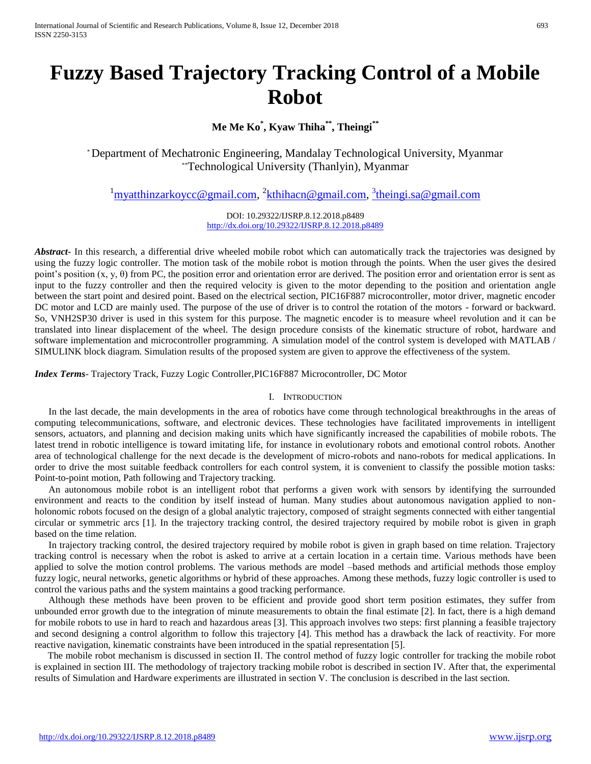**Me Me Ko\* , Kyaw Thiha\*\* , Theingi\*\***

\* Department of Mechatronic Engineering, Mandalay Technological University, Myanmar \*\*Technological University (Thanlyin), Myanmar

<sup>1</sup>[myatthinzarkoycc@gmail.com,](mailto:myatthinzarkoycc@gmail.com) <sup>2</sup>[kthihacn@gmail.com,](mailto:kthihacn@gmail.com) <sup>3</sup>[theingi.sa@gmail.com](mailto:3theingi.sa@gmail.com)

DOI: 10.29322/IJSRP.8.12.2018.p8489 <http://dx.doi.org/10.29322/IJSRP.8.12.2018.p8489>

*Abstract***-** In this research, a differential drive wheeled mobile robot which can automatically track the trajectories was designed by using the fuzzy logic controller. The motion task of the mobile robot is motion through the points. When the user gives the desired point's position  $(x, y, \theta)$  from PC, the position error and orientation error are derived. The position error and orientation error is sent as input to the fuzzy controller and then the required velocity is given to the motor depending to the position and orientation angle between the start point and desired point. Based on the electrical section, PIC16F887 microcontroller, motor driver, magnetic encoder DC motor and LCD are mainly used. The purpose of the use of driver is to control the rotation of the motors - forward or backward. So, VNH2SP30 driver is used in this system for this purpose. The magnetic encoder is to measure wheel revolution and it can be translated into linear displacement of the wheel. The design procedure consists of the kinematic structure of robot, hardware and software implementation and microcontroller programming. A simulation model of the control system is developed with MATLAB / SIMULINK block diagram. Simulation results of the proposed system are given to approve the effectiveness of the system.

*Index Terms*- Trajectory Track, Fuzzy Logic Controller,PIC16F887 Microcontroller, DC Motor

### I. INTRODUCTION

In the last decade, the main developments in the area of robotics have come through technological breakthroughs in the areas of computing telecommunications, software, and electronic devices. These technologies have facilitated improvements in intelligent sensors, actuators, and planning and decision making units which have significantly increased the capabilities of mobile robots. The latest trend in robotic intelligence is toward imitating life, for instance in evolutionary robots and emotional control robots. Another area of technological challenge for the next decade is the development of micro-robots and nano-robots for medical applications. In order to drive the most suitable feedback controllers for each control system, it is convenient to classify the possible motion tasks: Point-to-point motion, Path following and Trajectory tracking.

An autonomous mobile robot is an intelligent robot that performs a given work with sensors by identifying the surrounded environment and reacts to the condition by itself instead of human. Many studies about autonomous navigation applied to nonholonomic robots focused on the design of a global analytic trajectory, composed of straight segments connected with either tangential circular or symmetric arcs [1]. In the trajectory tracking control, the desired trajectory required by mobile robot is given in graph based on the time relation.

In trajectory tracking control, the desired trajectory required by mobile robot is given in graph based on time relation. Trajectory tracking control is necessary when the robot is asked to arrive at a certain location in a certain time. Various methods have been applied to solve the motion control problems. The various methods are model –based methods and artificial methods those employ fuzzy logic, neural networks, genetic algorithms or hybrid of these approaches. Among these methods, fuzzy logic controller is used to control the various paths and the system maintains a good tracking performance.

Although these methods have been proven to be efficient and provide good short term position estimates, they suffer from unbounded error growth due to the integration of minute measurements to obtain the final estimate [2]. In fact, there is a high demand for mobile robots to use in hard to reach and hazardous areas [3]. This approach involves two steps: first planning a feasible trajectory and second designing a control algorithm to follow this trajectory [4]. This method has a drawback the lack of reactivity. For more reactive navigation, kinematic constraints have been introduced in the spatial representation [5].

The mobile robot mechanism is discussed in section II. The control method of fuzzy logic controller for tracking the mobile robot is explained in section III. The methodology of trajectory tracking mobile robot is described in section IV. After that, the experimental results of Simulation and Hardware experiments are illustrated in section V. The conclusion is described in the last section.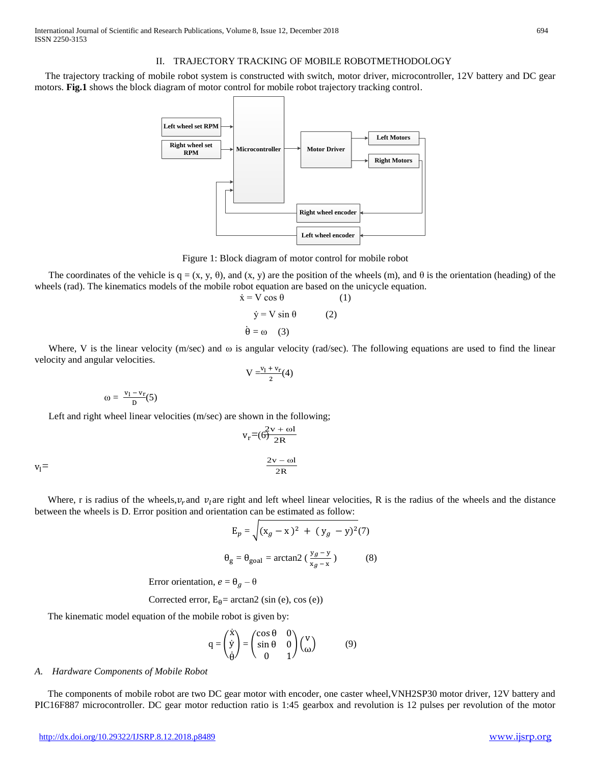### II. TRAJECTORY TRACKING OF MOBILE ROBOTMETHODOLOGY

The trajectory tracking of mobile robot system is constructed with switch, motor driver, microcontroller, 12V battery and DC gear motors. **Fig.1** shows the block diagram of motor control for mobile robot trajectory tracking control.



Figure 1: Block diagram of motor control for mobile robot

The coordinates of the vehicle is  $q = (x, y, \theta)$ , and  $(x, y)$  are the position of the wheels (m), and  $\theta$  is the orientation (heading) of the wheels (rad). The kinematics models of the mobile robot equation are based on the unicycle equation.

$$
\dot{x} = V \cos \theta \qquad (1)
$$
  

$$
\dot{y} = V \sin \theta \qquad (2)
$$
  

$$
\dot{\theta} = \omega \qquad (3)
$$

Where, V is the linear velocity (m/sec) and  $\omega$  is angular velocity (rad/sec). The following equations are used to find the linear velocity and angular velocities.

$$
V = \frac{v_l + v_r}{2}(4)
$$
  

$$
\omega = \frac{v_l - v_r}{D}(5)
$$

Left and right wheel linear velocities (m/sec) are shown in the following;

$$
v_r = \left(\frac{2v + \omega l}{2R}\right)
$$

$$
\frac{2v - \omega l}{2R}
$$

 $v_1=$ 

Where, r is radius of the wheels,  $v_r$  and  $v_l$  are right and left wheel linear velocities, R is the radius of the wheels and the distance between the wheels is D. Error position and orientation can be estimated as follow:

$$
E_p = \sqrt{(x_g - x)^2 + (y_g - y)^2(7)}
$$
  
\n
$$
\theta_g = \theta_{\text{goal}} = \arctan 2 \left(\frac{y_g - y}{x_g - x}\right)
$$
 (8)

Error orientation,  $e = \theta_a - \theta$ 

Corrected error, 
$$
E_{\theta}
$$
 = arctan2 (sin (e), cos (e))

The kinematic model equation of the mobile robot is given by:

$$
q = \begin{pmatrix} \dot{x} \\ \dot{y} \\ \dot{\theta} \end{pmatrix} = \begin{pmatrix} \cos \theta & 0 \\ \sin \theta & 0 \\ 0 & 1 \end{pmatrix} \begin{pmatrix} v \\ \omega \end{pmatrix} \tag{9}
$$

#### *A. Hardware Components of Mobile Robot*

The components of mobile robot are two DC gear motor with encoder, one caster wheel,VNH2SP30 motor driver, 12V battery and PIC16F887 microcontroller. DC gear motor reduction ratio is 1:45 gearbox and revolution is 12 pulses per revolution of the motor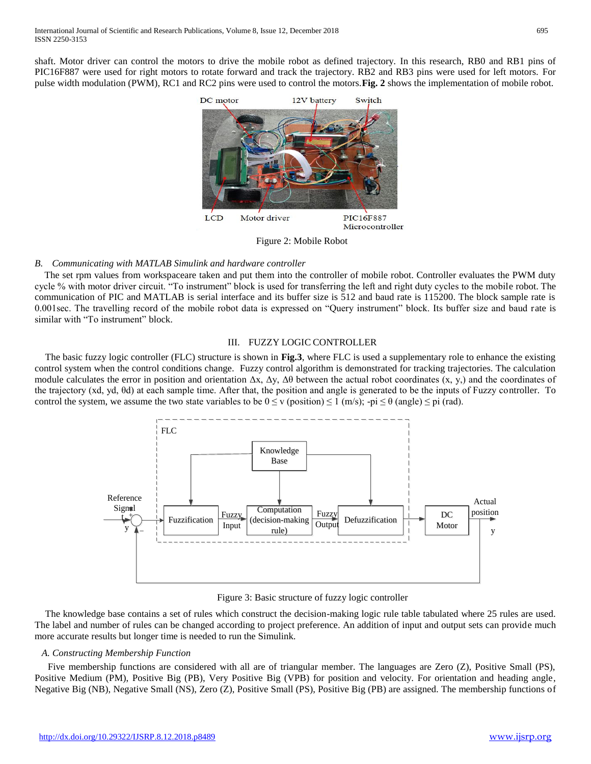shaft. Motor driver can control the motors to drive the mobile robot as defined trajectory. In this research, RB0 and RB1 pins of PIC16F887 were used for right motors to rotate forward and track the trajectory. RB2 and RB3 pins were used for left motors. For pulse width modulation (PWM), RC1 and RC2 pins were used to control the motors.**Fig. 2** shows the implementation of mobile robot.



Figure 2: Mobile Robot

# *B. Communicating with MATLAB Simulink and hardware controller*

The set rpm values from workspaceare taken and put them into the controller of mobile robot. Controller evaluates the PWM duty cycle % with motor driver circuit. "To instrument" block is used for transferring the left and right duty cycles to the mobile robot. The communication of PIC and MATLAB is serial interface and its buffer size is 512 and baud rate is 115200. The block sample rate is 0.001sec. The travelling record of the mobile robot data is expressed on "Query instrument" block. Its buffer size and baud rate is similar with "To instrument" block.

# III. FUZZY LOGIC CONTROLLER

The basic fuzzy logic controller (FLC) structure is shown in **Fig.3**, where FLC is used a supplementary role to enhance the existing control system when the control conditions change. Fuzzy control algorithm is demonstrated for tracking trajectories. The calculation module calculates the error in position and orientation  $\Delta x$ ,  $\Delta y$ ,  $\Delta \theta$  between the actual robot coordinates (x, y,) and the coordinates of the trajectory (xd, yd, θd) at each sample time. After that, the position and angle is generated to be the inputs of Fuzzy controller. To control the system, we assume the two state variables to be  $0 \le v$  (position)  $\le 1$  (m/s);  $-pi \le \theta$  (angle)  $\le pi$  (rad).



Figure 3: Basic structure of fuzzy logic controller

The knowledge base contains a set of rules which construct the decision-making logic rule table tabulated where 25 rules are used. The label and number of rules can be changed according to project preference. An addition of input and output sets can provide much more accurate results but longer time is needed to run the Simulink.

# *A. Constructing Membership Function*

Five membership functions are considered with all are of triangular member. The languages are Zero (Z), Positive Small (PS), Positive Medium (PM), Positive Big (PB), Very Positive Big (VPB) for position and velocity. For orientation and heading angle, Negative Big (NB), Negative Small (NS), Zero (Z), Positive Small (PS), Positive Big (PB) are assigned. The membership functions of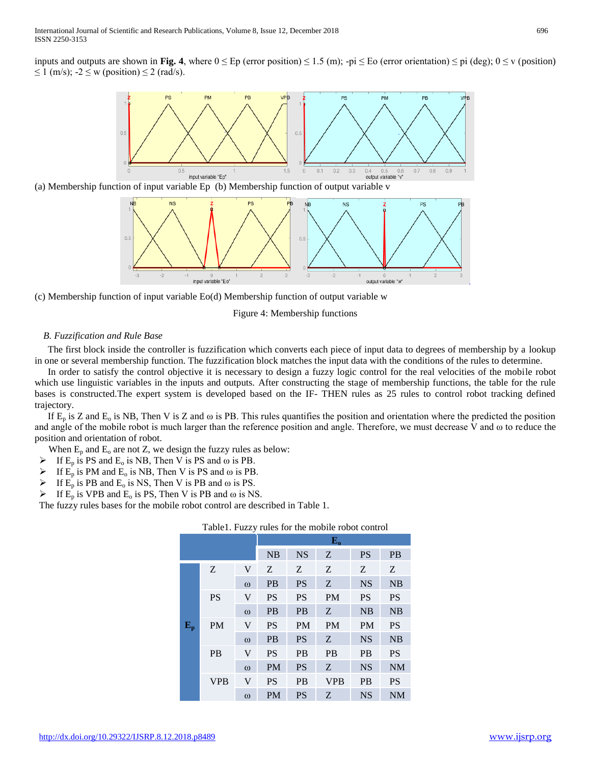inputs and outputs are shown in **Fig. 4**, where  $0 \leq Ep$  (error position)  $\leq 1.5$  (m);  $-pi \leq E$ o (error orientation)  $\leq pi$  (deg);  $0 \leq v$  (position)  $\leq 1$  (m/s);  $-2 \leq w$  (position)  $\leq 2$  (rad/s).



(a) Membership function of input variable Ep (b) Membership function of output variable v



(c) Membership function of input variable Eo(d) Membership function of output variable w

### Figure 4: Membership functions

### *B. Fuzzification and Rule Base*

The first block inside the controller is fuzzification which converts each piece of input data to degrees of membership by a lookup in one or several membership function. The fuzzification block matches the input data with the conditions of the rules to determine.

In order to satisfy the control objective it is necessary to design a fuzzy logic control for the real velocities of the mobile robot which use linguistic variables in the inputs and outputs. After constructing the stage of membership functions, the table for the rule bases is constructed.The expert system is developed based on the IF- THEN rules as 25 rules to control robot tracking defined trajectory.

If  $E_p$  is Z and  $E_q$  is NB, Then V is Z and  $\omega$  is PB. This rules quantifies the position and orientation where the predicted the position and angle of the mobile robot is much larger than the reference position and angle. Therefore, we must decrease V and ω to reduce the position and orientation of robot.

When  $E_p$  and  $E_o$  are not Z, we design the fuzzy rules as below:

- If  $E_p$  is PS and  $E_o$  is NB, Then V is PS and  $\omega$  is PB.
- $\triangleright$  If  $E_p$  is PM and  $E_o$  is NB, Then V is PS and  $\omega$  is PB.
- If  $E_p$  is PB and  $E_o$  is NS, Then V is PB and  $\omega$  is PS.
- $\triangleright$  If E<sub>p</sub> is VPB and E<sub>o</sub> is PS, Then V is PB and  $\omega$  is NS.

The fuzzy rules bases for the mobile robot control are described in Table 1.

|             |            |             | $E_{o}$   |           |            |           |           |
|-------------|------------|-------------|-----------|-----------|------------|-----------|-----------|
|             |            |             | <b>NB</b> | <b>NS</b> | Z          | <b>PS</b> | <b>PB</b> |
|             | Z          | V           | Z         | Z         | Z          | Ζ         | Z         |
|             |            | $\omega$    | <b>PB</b> | <b>PS</b> | Z          | <b>NS</b> | <b>NB</b> |
|             | <b>PS</b>  | $\mathbf V$ | <b>PS</b> | <b>PS</b> | <b>PM</b>  | <b>PS</b> | <b>PS</b> |
|             |            | $\omega$    | <b>PB</b> | <b>PB</b> | Z          | <b>NB</b> | <b>NB</b> |
| ${\bf E_p}$ | <b>PM</b>  | V           | <b>PS</b> | <b>PM</b> | <b>PM</b>  | <b>PM</b> | <b>PS</b> |
|             |            | $\omega$    | <b>PB</b> | <b>PS</b> | Z          | <b>NS</b> | <b>NB</b> |
|             | <b>PB</b>  | V           | <b>PS</b> | <b>PB</b> | <b>PB</b>  | <b>PB</b> | <b>PS</b> |
|             |            | $\omega$    | <b>PM</b> | <b>PS</b> | Z          | <b>NS</b> | <b>NM</b> |
|             | <b>VPB</b> | V           | <b>PS</b> | <b>PB</b> | <b>VPB</b> | <b>PB</b> | <b>PS</b> |
|             |            | $\omega$    | <b>PM</b> | <b>PS</b> | Z          | <b>NS</b> | <b>NM</b> |

Table1. Fuzzy rules for the mobile robot control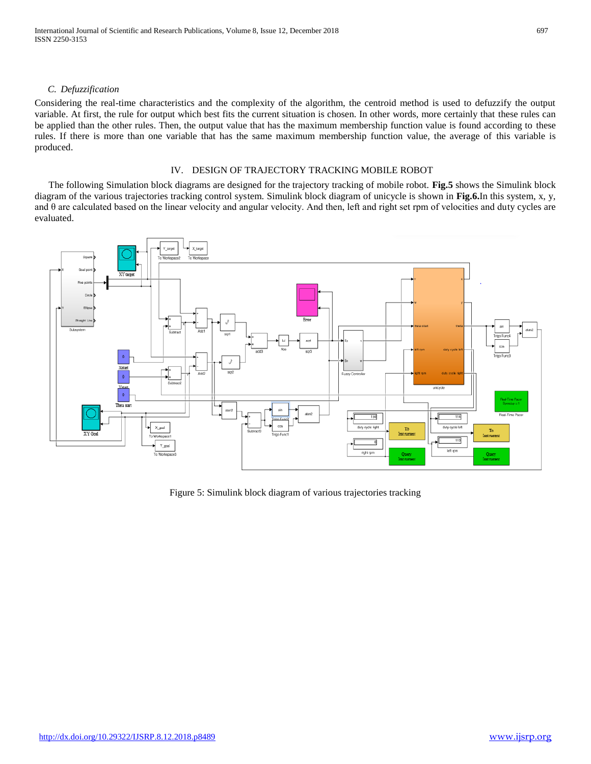International Journal of Scientific and Research Publications, Volume 8, Issue 12, December 2018 697 ISSN 2250-3153

## *C. Defuzzification*

Considering the real-time characteristics and the complexity of the algorithm, the centroid method is used to defuzzify the output variable. At first, the rule for output which best fits the current situation is chosen. In other words, more certainly that these rules can be applied than the other rules. Then, the output value that has the maximum membership function value is found according to these rules. If there is more than one variable that has the same maximum membership function value, the average of this variable is produced.

### IV. DESIGN OF TRAJECTORY TRACKING MOBILE ROBOT

The following Simulation block diagrams are designed for the trajectory tracking of mobile robot. **Fig.5** shows the Simulink block diagram of the various trajectories tracking control system. Simulink block diagram of unicycle is shown in **Fig.6.**In this system, x, y, and θ are calculated based on the linear velocity and angular velocity. And then, left and right set rpm of velocities and duty cycles are evaluated.



Figure 5: Simulink block diagram of various trajectories tracking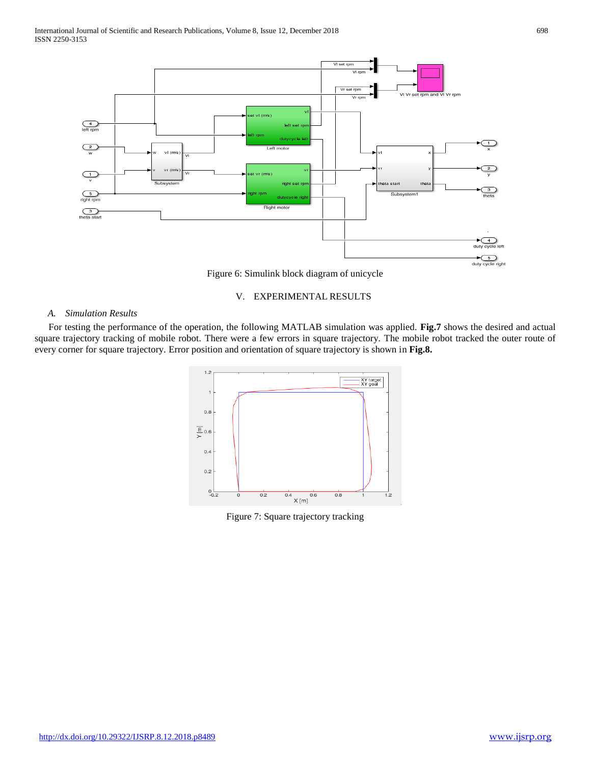

Figure 6: Simulink block diagram of unicycle

## V. EXPERIMENTAL RESULTS

### *A. Simulation Results*

For testing the performance of the operation, the following MATLAB simulation was applied. **Fig.7** shows the desired and actual square trajectory tracking of mobile robot. There were a few errors in square trajectory. The mobile robot tracked the outer route of every corner for square trajectory. Error position and orientation of square trajectory is shown in **Fig.8.**



Figure 7: Square trajectory tracking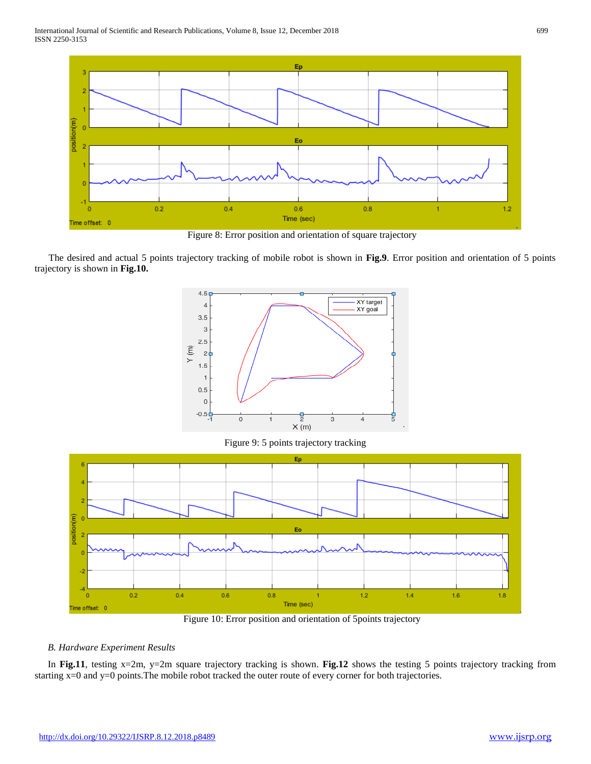

Figure 8: Error position and orientation of square trajectory

The desired and actual 5 points trajectory tracking of mobile robot is shown in **Fig.9**. Error position and orientation of 5 points trajectory is shown in **Fig.10.**



Figure 9: 5 points trajectory tracking



Figure 10: Error position and orientation of 5points trajectory

# *B. Hardware Experiment Results*

In **Fig.11**, testing x=2m, y=2m square trajectory tracking is shown. **Fig.12** shows the testing 5 points trajectory tracking from starting x=0 and y=0 points. The mobile robot tracked the outer route of every corner for both trajectories.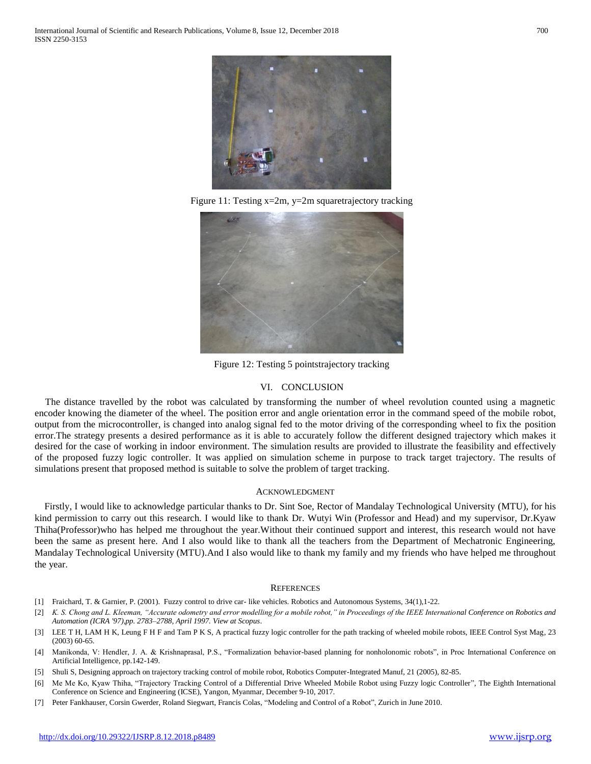

Figure 11: Testing x=2m, y=2m squaretrajectory tracking



Figure 12: Testing 5 pointstrajectory tracking

### VI. CONCLUSION

The distance travelled by the robot was calculated by transforming the number of wheel revolution counted using a magnetic encoder knowing the diameter of the wheel. The position error and angle orientation error in the command speed of the mobile robot, output from the microcontroller, is changed into analog signal fed to the motor driving of the corresponding wheel to fix the position error.The strategy presents a desired performance as it is able to accurately follow the different designed trajectory which makes it desired for the case of working in indoor environment. The simulation results are provided to illustrate the feasibility and effectively of the proposed fuzzy logic controller. It was applied on simulation scheme in purpose to track target trajectory. The results of simulations present that proposed method is suitable to solve the problem of target tracking.

### ACKNOWLEDGMENT

Firstly, I would like to acknowledge particular thanks to Dr. Sint Soe, Rector of Mandalay Technological University (MTU), for his kind permission to carry out this research. I would like to thank Dr. Wutyi Win (Professor and Head) and my supervisor, Dr.Kyaw Thiha(Professor)who has helped me throughout the year.Without their continued support and interest, this research would not have been the same as present here. And I also would like to thank all the teachers from the Department of Mechatronic Engineering, Mandalay Technological University (MTU).And I also would like to thank my family and my friends who have helped me throughout the year.

#### **REFERENCES**

- [1] Fraichard, T. & Garnier, P. (2001). Fuzzy control to drive car- like vehicles. Robotics and Autonomous Systems, 34(1),1-22.
- [2] *K. S. Chong and L. Kleeman, "Accurate odometry and error modelling for a mobile robot," in Proceedings of the IEEE International Conference on Robotics and Automation (ICRA '97),pp. 2783–2788, April 1997. View at Scopus*.
- [3] LEE T H, LAM H K, Leung F H F and Tam P K S, A practical fuzzy logic controller for the path tracking of wheeled mobile robots, IEEE Control Syst Mag, 23 (2003) 60-65*.*
- [4] Manikonda, V: Hendler, J. A. & Krishnaprasal, P.S., "Formalization behavior-based planning for nonholonomic robots", in Proc International Conference on Artificial Intelligence, pp.142-149.
- [5] Shuli S, Designing approach on trajectory tracking control of mobile robot, Robotics Computer-Integrated Manuf, 21 (2005), 82-85.
- [6] Me Me Ko, Kyaw Thiha, "Trajectory Tracking Control of a Differential Drive Wheeled Mobile Robot using Fuzzy logic Controller", The Eighth International Conference on Science and Engineering (ICSE), Yangon, Myanmar, December 9-10, 2017.
- [7] Peter Fankhauser, Corsin Gwerder, Roland Siegwart, Francis Colas, "Modeling and Control of a Robot", Zurich in June 2010.